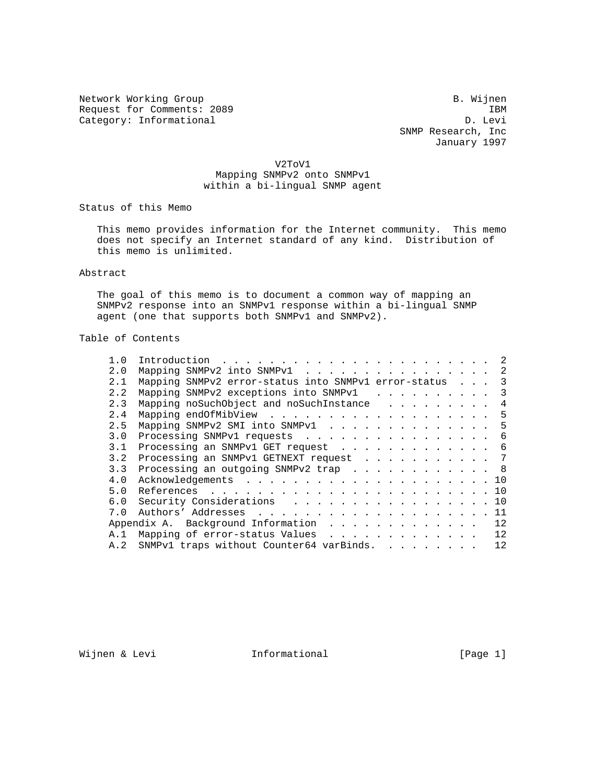Network Working Group and B. Wijnen Request for Comments: 2089 IBM<br>Category: Informational D. Levi Category: Informational

 SNMP Research, Inc January 1997

V2ToV1

 Mapping SNMPv2 onto SNMPv1 within a bi-lingual SNMP agent

Status of this Memo

 This memo provides information for the Internet community. This memo does not specify an Internet standard of any kind. Distribution of this memo is unlimited.

## Abstract

 The goal of this memo is to document a common way of mapping an SNMPv2 response into an SNMPv1 response within a bi-lingual SNMP agent (one that supports both SNMPv1 and SNMPv2).

# Table of Contents

| 1.0 |                                                      |  |  |  |  |  |    |
|-----|------------------------------------------------------|--|--|--|--|--|----|
| 2.0 | Mapping SNMPv2 into SNMPv1                           |  |  |  |  |  | -2 |
| 2.1 | Mapping SNMPv2 error-status into SNMPv1 error-status |  |  |  |  |  | 3  |
| 2.2 | Mapping SNMPv2 exceptions into SNMPv1                |  |  |  |  |  | 3  |
| 2.3 | Mapping noSuchObject and noSuchInstance              |  |  |  |  |  | 4  |
| 2.4 |                                                      |  |  |  |  |  | -5 |
| 2.5 | Mapping SNMPv2 SMI into SNMPv1                       |  |  |  |  |  | -5 |
| 3.0 | Processing SNMPv1 requests 6                         |  |  |  |  |  |    |
| 3.1 | Processing an SNMPv1 GET request 6                   |  |  |  |  |  |    |
| 3.2 | Processing an SNMPv1 GETNEXT request 7               |  |  |  |  |  |    |
| 3.3 | Processing an outgoing SNMPv2 trap 8                 |  |  |  |  |  |    |
| 4.0 |                                                      |  |  |  |  |  |    |
| 5.0 |                                                      |  |  |  |  |  |    |
| 6.0 | Security Considerations 10                           |  |  |  |  |  |    |
| 7.0 |                                                      |  |  |  |  |  | 11 |
|     | Appendix A. Background Information 12                |  |  |  |  |  |    |
| A.1 | Mapping of error-status Values 12                    |  |  |  |  |  |    |
|     | A.2 SNMPv1 traps without Counter64 varBinds.         |  |  |  |  |  | 12 |

Wijnen & Levi **Informational** [Page 1]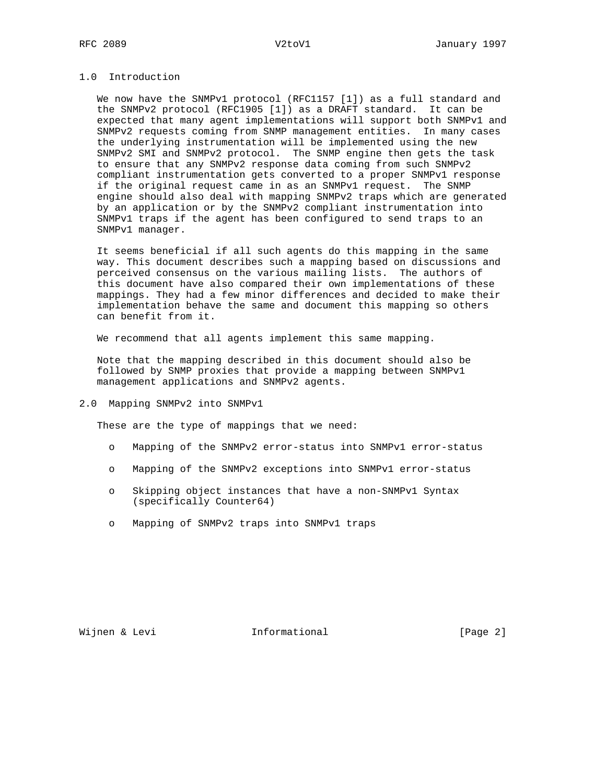# 1.0 Introduction

 We now have the SNMPv1 protocol (RFC1157 [1]) as a full standard and the SNMPv2 protocol (RFC1905 [1]) as a DRAFT standard. It can be expected that many agent implementations will support both SNMPv1 and SNMPv2 requests coming from SNMP management entities. In many cases the underlying instrumentation will be implemented using the new SNMPv2 SMI and SNMPv2 protocol. The SNMP engine then gets the task to ensure that any SNMPv2 response data coming from such SNMPv2 compliant instrumentation gets converted to a proper SNMPv1 response if the original request came in as an SNMPv1 request. The SNMP engine should also deal with mapping SNMPv2 traps which are generated by an application or by the SNMPv2 compliant instrumentation into SNMPv1 traps if the agent has been configured to send traps to an SNMPv1 manager.

 It seems beneficial if all such agents do this mapping in the same way. This document describes such a mapping based on discussions and perceived consensus on the various mailing lists. The authors of this document have also compared their own implementations of these mappings. They had a few minor differences and decided to make their implementation behave the same and document this mapping so others can benefit from it.

We recommend that all agents implement this same mapping.

 Note that the mapping described in this document should also be followed by SNMP proxies that provide a mapping between SNMPv1 management applications and SNMPv2 agents.

### 2.0 Mapping SNMPv2 into SNMPv1

These are the type of mappings that we need:

- o Mapping of the SNMPv2 error-status into SNMPv1 error-status
- o Mapping of the SNMPv2 exceptions into SNMPv1 error-status
- o Skipping object instances that have a non-SNMPv1 Syntax (specifically Counter64)
- o Mapping of SNMPv2 traps into SNMPv1 traps

Wijnen & Levi **Informational Informational** [Page 2]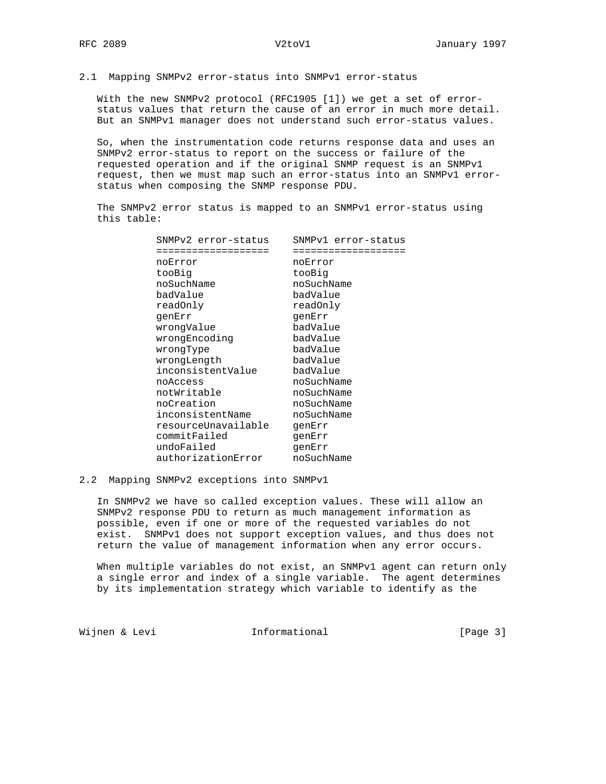### 2.1 Mapping SNMPv2 error-status into SNMPv1 error-status

 With the new SNMPv2 protocol (RFC1905 [1]) we get a set of error status values that return the cause of an error in much more detail. But an SNMPv1 manager does not understand such error-status values.

 So, when the instrumentation code returns response data and uses an SNMPv2 error-status to report on the success or failure of the requested operation and if the original SNMP request is an SNMPv1 request, then we must map such an error-status into an SNMPv1 error status when composing the SNMP response PDU.

 The SNMPv2 error status is mapped to an SNMPv1 error-status using this table:

| SNMPv2 error-status | SNMPvl error-status |
|---------------------|---------------------|
|                     |                     |
| noError             | noError             |
| tooBig              | tooBig              |
| noSuchName          | noSuchName          |
| badValue            | badValue            |
| readOnly            | readOnly            |
| qenErr              | qenErr              |
| wrongValue          | badValue            |
| wrongEncoding       | badValue            |
| wrongType           | badValue            |
| wrongLength         | badValue            |
| inconsistentValue   | badValue            |
| noAccess            | noSuchName          |
| notWritable         | noSuchName          |
| noCreation          | noSuchName          |
| inconsistentName    | noSuchName          |
| resourceUnavailable | qenErr              |
| commitFailed        | qenErr              |
| undoFailed          | qenErr              |
| authorizationError  | noSuchName          |
|                     |                     |

### 2.2 Mapping SNMPv2 exceptions into SNMPv1

 In SNMPv2 we have so called exception values. These will allow an SNMPv2 response PDU to return as much management information as possible, even if one or more of the requested variables do not exist. SNMPv1 does not support exception values, and thus does not return the value of management information when any error occurs.

When multiple variables do not exist, an SNMPv1 agent can return only a single error and index of a single variable. The agent determines by its implementation strategy which variable to identify as the

Wijnen & Levi **Informational Informational** [Page 3]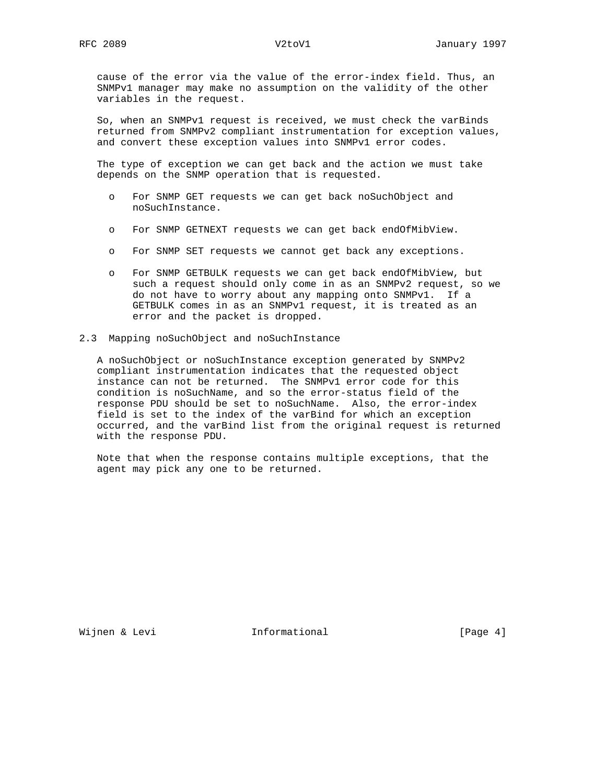cause of the error via the value of the error-index field. Thus, an SNMPv1 manager may make no assumption on the validity of the other variables in the request.

 So, when an SNMPv1 request is received, we must check the varBinds returned from SNMPv2 compliant instrumentation for exception values, and convert these exception values into SNMPv1 error codes.

 The type of exception we can get back and the action we must take depends on the SNMP operation that is requested.

- o For SNMP GET requests we can get back noSuchObject and noSuchInstance.
- o For SNMP GETNEXT requests we can get back endOfMibView.
- o For SNMP SET requests we cannot get back any exceptions.
- o For SNMP GETBULK requests we can get back endOfMibView, but such a request should only come in as an SNMPv2 request, so we do not have to worry about any mapping onto SNMPv1. If a GETBULK comes in as an SNMPv1 request, it is treated as an error and the packet is dropped.
- 2.3 Mapping noSuchObject and noSuchInstance

 A noSuchObject or noSuchInstance exception generated by SNMPv2 compliant instrumentation indicates that the requested object instance can not be returned. The SNMPv1 error code for this condition is noSuchName, and so the error-status field of the response PDU should be set to noSuchName. Also, the error-index field is set to the index of the varBind for which an exception occurred, and the varBind list from the original request is returned with the response PDU.

 Note that when the response contains multiple exceptions, that the agent may pick any one to be returned.

Wijnen & Levi **Informational Informational** [Page 4]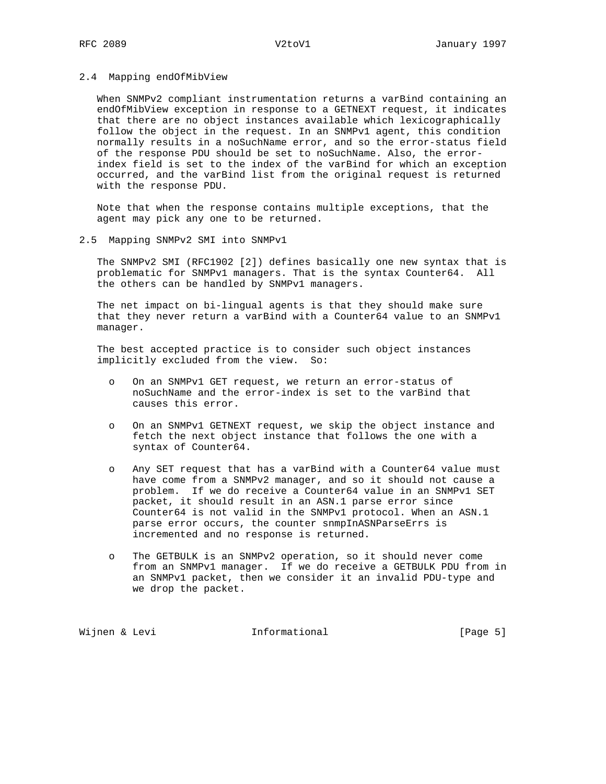### 2.4 Mapping endOfMibView

 When SNMPv2 compliant instrumentation returns a varBind containing an endOfMibView exception in response to a GETNEXT request, it indicates that there are no object instances available which lexicographically follow the object in the request. In an SNMPv1 agent, this condition normally results in a noSuchName error, and so the error-status field of the response PDU should be set to noSuchName. Also, the error index field is set to the index of the varBind for which an exception occurred, and the varBind list from the original request is returned with the response PDU.

 Note that when the response contains multiple exceptions, that the agent may pick any one to be returned.

### 2.5 Mapping SNMPv2 SMI into SNMPv1

 The SNMPv2 SMI (RFC1902 [2]) defines basically one new syntax that is problematic for SNMPv1 managers. That is the syntax Counter64. All the others can be handled by SNMPv1 managers.

 The net impact on bi-lingual agents is that they should make sure that they never return a varBind with a Counter64 value to an SNMPv1 manager.

 The best accepted practice is to consider such object instances implicitly excluded from the view. So:

- o On an SNMPv1 GET request, we return an error-status of noSuchName and the error-index is set to the varBind that causes this error.
- o On an SNMPv1 GETNEXT request, we skip the object instance and fetch the next object instance that follows the one with a syntax of Counter64.
- o Any SET request that has a varBind with a Counter64 value must have come from a SNMPv2 manager, and so it should not cause a problem. If we do receive a Counter64 value in an SNMPv1 SET packet, it should result in an ASN.1 parse error since Counter64 is not valid in the SNMPv1 protocol. When an ASN.1 parse error occurs, the counter snmpInASNParseErrs is incremented and no response is returned.
- The GETBULK is an SNMPv2 operation, so it should never come from an SNMPv1 manager. If we do receive a GETBULK PDU from in an SNMPv1 packet, then we consider it an invalid PDU-type and we drop the packet.

Wijnen & Levi **Informational Informational** [Page 5]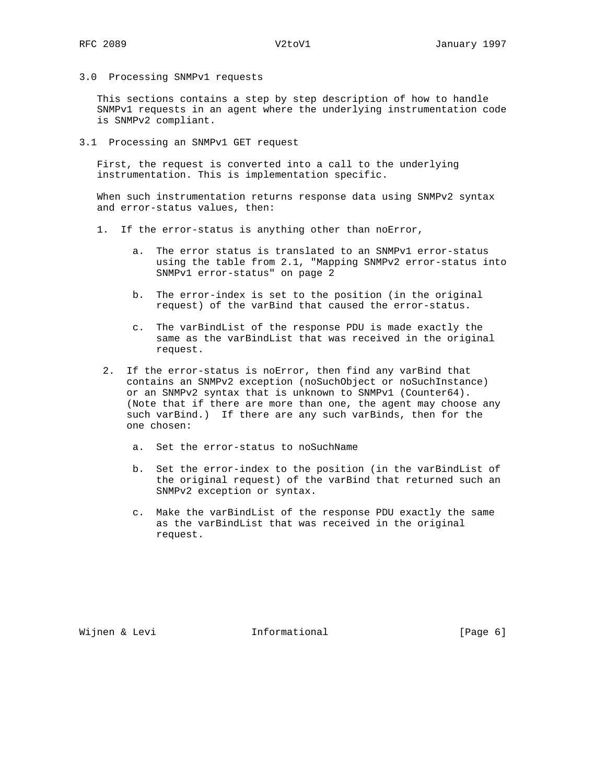3.0 Processing SNMPv1 requests

 This sections contains a step by step description of how to handle SNMPv1 requests in an agent where the underlying instrumentation code is SNMPv2 compliant.

3.1 Processing an SNMPv1 GET request

 First, the request is converted into a call to the underlying instrumentation. This is implementation specific.

 When such instrumentation returns response data using SNMPv2 syntax and error-status values, then:

- 1. If the error-status is anything other than noError,
	- a. The error status is translated to an SNMPv1 error-status using the table from 2.1, "Mapping SNMPv2 error-status into SNMPv1 error-status" on page 2
	- b. The error-index is set to the position (in the original request) of the varBind that caused the error-status.
	- c. The varBindList of the response PDU is made exactly the same as the varBindList that was received in the original request.
	- 2. If the error-status is noError, then find any varBind that contains an SNMPv2 exception (noSuchObject or noSuchInstance) or an SNMPv2 syntax that is unknown to SNMPv1 (Counter64). (Note that if there are more than one, the agent may choose any such varBind.) If there are any such varBinds, then for the one chosen:
		- a. Set the error-status to noSuchName
		- b. Set the error-index to the position (in the varBindList of the original request) of the varBind that returned such an SNMPv2 exception or syntax.
		- c. Make the varBindList of the response PDU exactly the same as the varBindList that was received in the original request.

Wijnen & Levi **Informational Informational** [Page 6]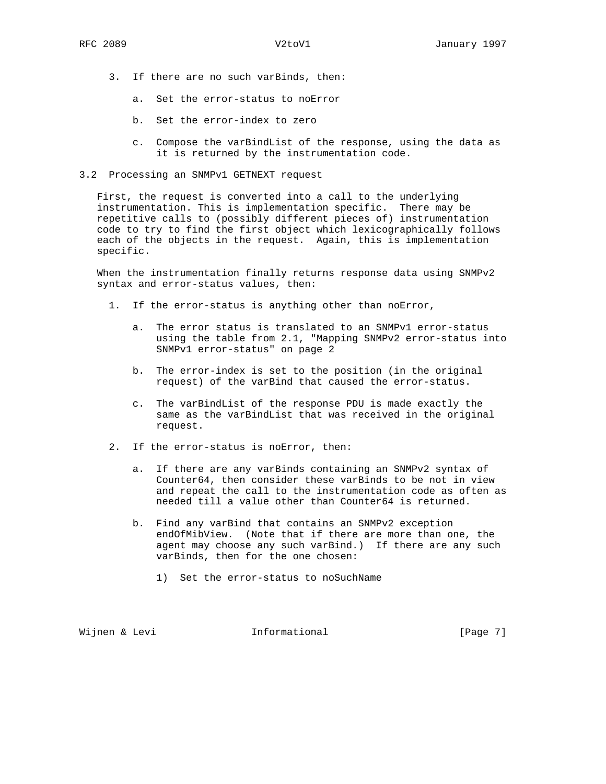- 3. If there are no such varBinds, then:
	- a. Set the error-status to noError
	- b. Set the error-index to zero
	- c. Compose the varBindList of the response, using the data as it is returned by the instrumentation code.
- 3.2 Processing an SNMPv1 GETNEXT request

 First, the request is converted into a call to the underlying instrumentation. This is implementation specific. There may be repetitive calls to (possibly different pieces of) instrumentation code to try to find the first object which lexicographically follows each of the objects in the request. Again, this is implementation specific.

 When the instrumentation finally returns response data using SNMPv2 syntax and error-status values, then:

- 1. If the error-status is anything other than noError,
	- a. The error status is translated to an SNMPv1 error-status using the table from 2.1, "Mapping SNMPv2 error-status into SNMPv1 error-status" on page 2
	- b. The error-index is set to the position (in the original request) of the varBind that caused the error-status.
	- c. The varBindList of the response PDU is made exactly the same as the varBindList that was received in the original request.
- 2. If the error-status is noError, then:
	- a. If there are any varBinds containing an SNMPv2 syntax of Counter64, then consider these varBinds to be not in view and repeat the call to the instrumentation code as often as needed till a value other than Counter64 is returned.
	- b. Find any varBind that contains an SNMPv2 exception endOfMibView. (Note that if there are more than one, the agent may choose any such varBind.) If there are any such varBinds, then for the one chosen:
		- 1) Set the error-status to noSuchName

Wijnen & Levi **Informational** (Page 7)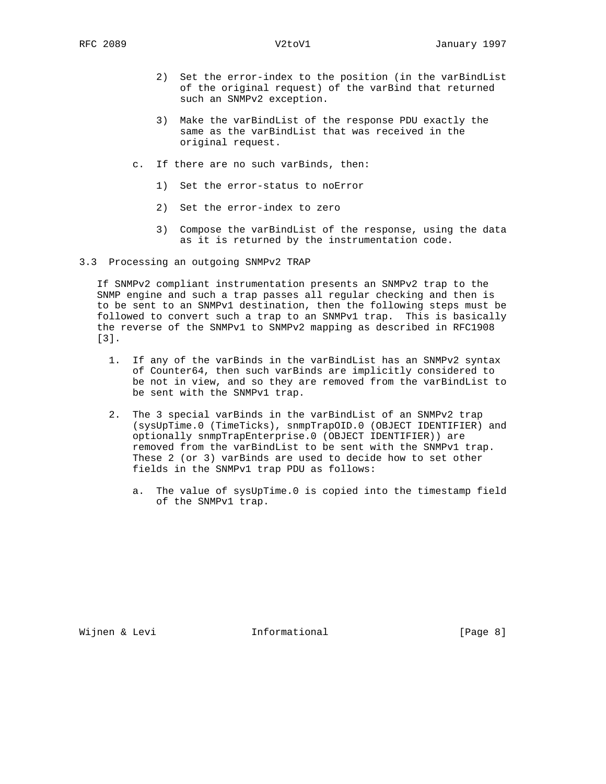- 2) Set the error-index to the position (in the varBindList of the original request) of the varBind that returned such an SNMPv2 exception.
- 3) Make the varBindList of the response PDU exactly the same as the varBindList that was received in the original request.
- c. If there are no such varBinds, then:
	- 1) Set the error-status to noError
	- 2) Set the error-index to zero
	- 3) Compose the varBindList of the response, using the data as it is returned by the instrumentation code.
- 3.3 Processing an outgoing SNMPv2 TRAP

 If SNMPv2 compliant instrumentation presents an SNMPv2 trap to the SNMP engine and such a trap passes all regular checking and then is to be sent to an SNMPv1 destination, then the following steps must be followed to convert such a trap to an SNMPv1 trap. This is basically the reverse of the SNMPv1 to SNMPv2 mapping as described in RFC1908 [3].

- 1. If any of the varBinds in the varBindList has an SNMPv2 syntax of Counter64, then such varBinds are implicitly considered to be not in view, and so they are removed from the varBindList to be sent with the SNMPv1 trap.
- 2. The 3 special varBinds in the varBindList of an SNMPv2 trap (sysUpTime.0 (TimeTicks), snmpTrapOID.0 (OBJECT IDENTIFIER) and optionally snmpTrapEnterprise.0 (OBJECT IDENTIFIER)) are removed from the varBindList to be sent with the SNMPv1 trap. These 2 (or 3) varBinds are used to decide how to set other fields in the SNMPv1 trap PDU as follows:
	- a. The value of sysUpTime.0 is copied into the timestamp field of the SNMPv1 trap.

Wijnen & Levi **Informational Informational** [Page 8]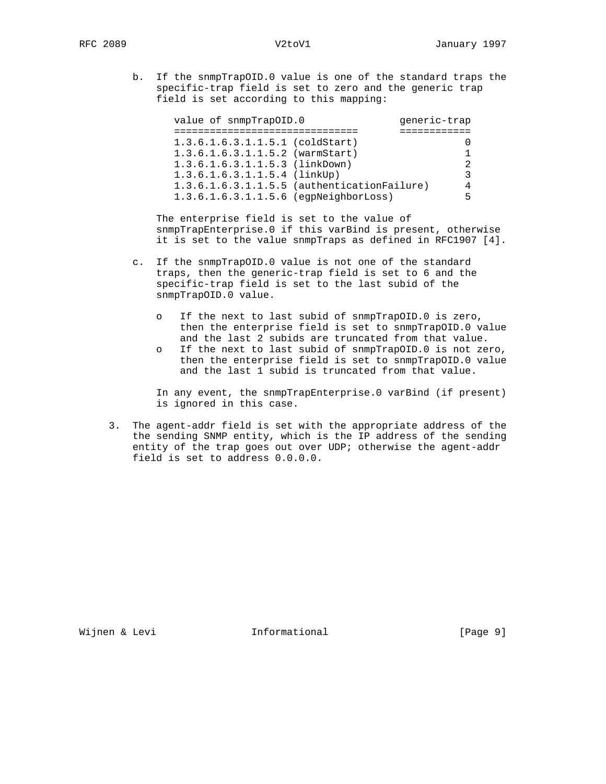b. If the snmpTrapOID.0 value is one of the standard traps the specific-trap field is set to zero and the generic trap field is set according to this mapping:

| value of snmpTrapOID.0            | qeneric-trap                                     |
|-----------------------------------|--------------------------------------------------|
|                                   |                                                  |
| $1.3.6.1.6.3.1.1.5.1$ (coldStart) |                                                  |
| $1.3.6.1.6.3.1.1.5.2$ (warmStart) |                                                  |
| 1.3.6.1.6.3.1.1.5.3 (linkDown)    | 2                                                |
| $1.3.6.1.6.3.1.1.5.4$ (linkUp)    | 3                                                |
|                                   | 1.3.6.1.6.3.1.1.5.5 (authenticationFailure)<br>4 |
|                                   | 1.3.6.1.6.3.1.1.5.6 (egpNeighborLoss)<br>5.      |

 The enterprise field is set to the value of snmpTrapEnterprise.0 if this varBind is present, otherwise it is set to the value snmpTraps as defined in RFC1907 [4].

- c. If the snmpTrapOID.0 value is not one of the standard traps, then the generic-trap field is set to 6 and the specific-trap field is set to the last subid of the snmpTrapOID.0 value.
	- o If the next to last subid of snmpTrapOID.0 is zero, then the enterprise field is set to snmpTrapOID.0 value and the last 2 subids are truncated from that value.
	- o If the next to last subid of snmpTrapOID.0 is not zero, then the enterprise field is set to snmpTrapOID.0 value and the last 1 subid is truncated from that value.

 In any event, the snmpTrapEnterprise.0 varBind (if present) is ignored in this case.

 3. The agent-addr field is set with the appropriate address of the the sending SNMP entity, which is the IP address of the sending entity of the trap goes out over UDP; otherwise the agent-addr field is set to address 0.0.0.0.

Wijnen & Levi **Informational Informational** [Page 9]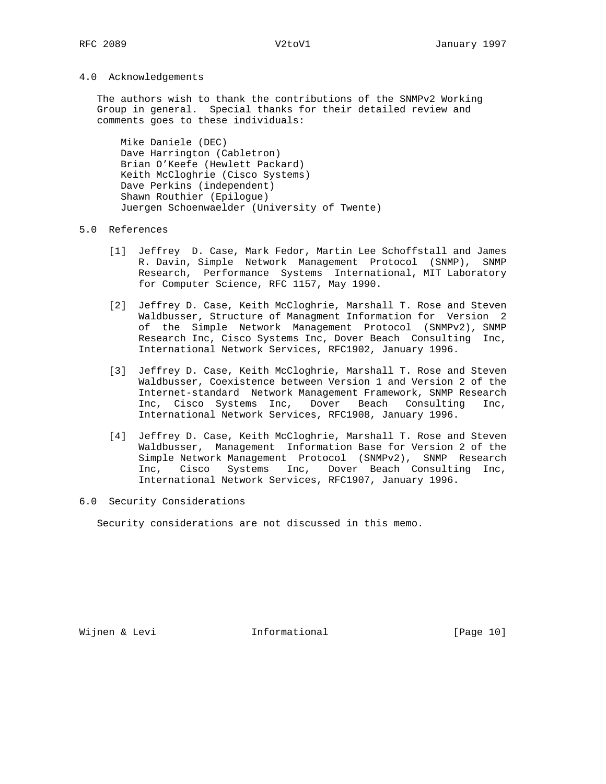### 4.0 Acknowledgements

 The authors wish to thank the contributions of the SNMPv2 Working Group in general. Special thanks for their detailed review and comments goes to these individuals:

 Mike Daniele (DEC) Dave Harrington (Cabletron) Brian O'Keefe (Hewlett Packard) Keith McCloghrie (Cisco Systems) Dave Perkins (independent) Shawn Routhier (Epilogue) Juergen Schoenwaelder (University of Twente)

### 5.0 References

- [1] Jeffrey D. Case, Mark Fedor, Martin Lee Schoffstall and James R. Davin, Simple Network Management Protocol (SNMP), SNMP Research, Performance Systems International, MIT Laboratory for Computer Science, RFC 1157, May 1990.
- [2] Jeffrey D. Case, Keith McCloghrie, Marshall T. Rose and Steven Waldbusser, Structure of Managment Information for Version 2 of the Simple Network Management Protocol (SNMPv2), SNMP Research Inc, Cisco Systems Inc, Dover Beach Consulting Inc, International Network Services, RFC1902, January 1996.
- [3] Jeffrey D. Case, Keith McCloghrie, Marshall T. Rose and Steven Waldbusser, Coexistence between Version 1 and Version 2 of the Internet-standard Network Management Framework, SNMP Research Inc, Cisco Systems Inc, Dover Beach Consulting Inc, International Network Services, RFC1908, January 1996.
- [4] Jeffrey D. Case, Keith McCloghrie, Marshall T. Rose and Steven Waldbusser, Management Information Base for Version 2 of the Simple Network Management Protocol (SNMPv2), SNMP Research Inc, Cisco Systems Inc, Dover Beach Consulting Inc, International Network Services, RFC1907, January 1996.
- 6.0 Security Considerations

Security considerations are not discussed in this memo.

Wijnen & Levi **Informational** [Page 10]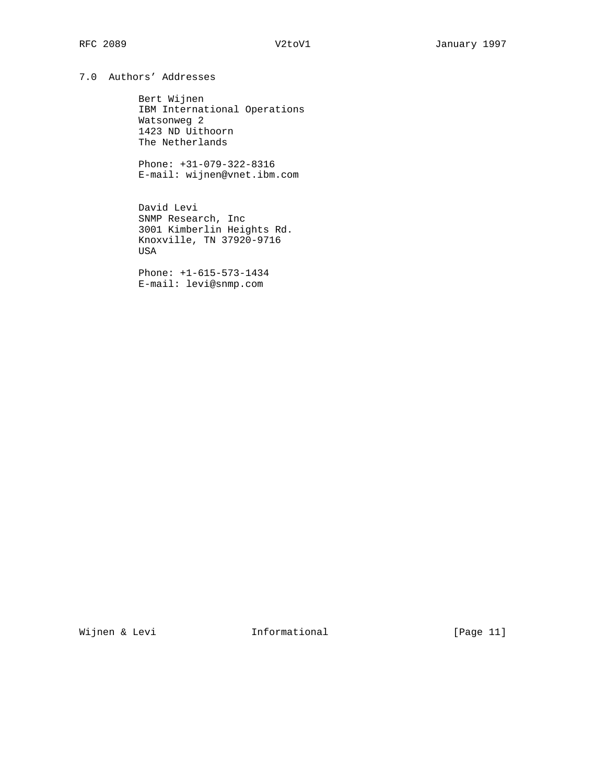# 7.0 Authors' Addresses

 Bert Wijnen IBM International Operations Watsonweg 2 1423 ND Uithoorn The Netherlands

 Phone: +31-079-322-8316 E-mail: wijnen@vnet.ibm.com

 David Levi SNMP Research, Inc 3001 Kimberlin Heights Rd. Knoxville, TN 37920-9716 USA

 Phone: +1-615-573-1434 E-mail: levi@snmp.com

Wijnen & Levi **Informational Informational** [Page 11]